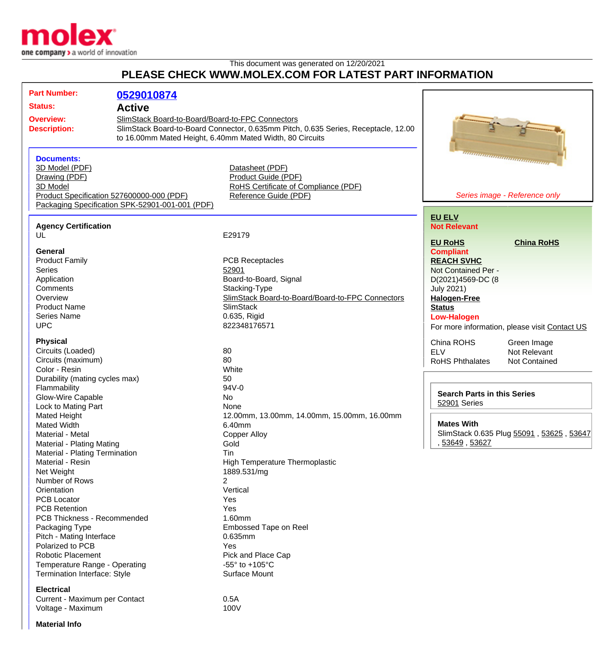

## This document was generated on 12/20/2021 **PLEASE CHECK WWW.MOLEX.COM FOR LATEST PART INFORMATION**

| <b>Part Number:</b>                                                                                       | 0529010874                                      |                                                          |                                               |  |
|-----------------------------------------------------------------------------------------------------------|-------------------------------------------------|----------------------------------------------------------|-----------------------------------------------|--|
| <b>Status:</b>                                                                                            | <b>Active</b>                                   |                                                          |                                               |  |
|                                                                                                           |                                                 |                                                          |                                               |  |
| SlimStack Board-to-Board/Board-to-FPC Connectors<br><b>Overview:</b>                                      |                                                 |                                                          |                                               |  |
| SlimStack Board-to-Board Connector, 0.635mm Pitch, 0.635 Series, Receptacle, 12.00<br><b>Description:</b> |                                                 |                                                          |                                               |  |
|                                                                                                           |                                                 | to 16.00mm Mated Height, 6.40mm Mated Width, 80 Circuits |                                               |  |
|                                                                                                           |                                                 |                                                          |                                               |  |
| <b>Documents:</b>                                                                                         |                                                 |                                                          |                                               |  |
| 3D Model (PDF)                                                                                            |                                                 | Datasheet (PDF)                                          |                                               |  |
| Drawing (PDF)                                                                                             |                                                 | Product Guide (PDF)                                      |                                               |  |
| 3D Model                                                                                                  |                                                 | RoHS Certificate of Compliance (PDF)                     |                                               |  |
|                                                                                                           | Product Specification 527600000-000 (PDF)       | Reference Guide (PDF)                                    | Series image - Reference only                 |  |
|                                                                                                           | Packaging Specification SPK-52901-001-001 (PDF) |                                                          |                                               |  |
|                                                                                                           |                                                 |                                                          | <b>EU ELV</b>                                 |  |
| <b>Agency Certification</b>                                                                               |                                                 |                                                          | <b>Not Relevant</b>                           |  |
| UL                                                                                                        |                                                 | E29179                                                   |                                               |  |
|                                                                                                           |                                                 |                                                          | <b>China RoHS</b><br><b>EU RoHS</b>           |  |
| General                                                                                                   |                                                 |                                                          | <b>Compliant</b>                              |  |
| <b>Product Family</b>                                                                                     |                                                 | <b>PCB Receptacles</b>                                   | <b>REACH SVHC</b>                             |  |
| <b>Series</b>                                                                                             |                                                 | 52901                                                    | Not Contained Per -                           |  |
| Application                                                                                               |                                                 | Board-to-Board, Signal                                   | D(2021)4569-DC (8                             |  |
| Comments                                                                                                  |                                                 | Stacking-Type                                            | <b>July 2021)</b>                             |  |
| Overview                                                                                                  |                                                 | SlimStack Board-to-Board/Board-to-FPC Connectors         | <b>Halogen-Free</b>                           |  |
| <b>Product Name</b>                                                                                       |                                                 | <b>SlimStack</b>                                         | <b>Status</b>                                 |  |
| Series Name                                                                                               |                                                 | 0.635, Rigid                                             | <b>Low-Halogen</b>                            |  |
| <b>UPC</b>                                                                                                |                                                 | 822348176571                                             | For more information, please visit Contact US |  |
| <b>Physical</b>                                                                                           |                                                 |                                                          | China ROHS<br>Green Image                     |  |
| Circuits (Loaded)                                                                                         |                                                 | 80                                                       | <b>ELV</b><br>Not Relevant                    |  |
| Circuits (maximum)                                                                                        |                                                 | 80                                                       | <b>RoHS Phthalates</b><br>Not Contained       |  |
| Color - Resin                                                                                             |                                                 | White                                                    |                                               |  |
| Durability (mating cycles max)                                                                            |                                                 | 50                                                       |                                               |  |
| Flammability                                                                                              |                                                 | 94V-0                                                    |                                               |  |
| Glow-Wire Capable                                                                                         |                                                 | No                                                       | <b>Search Parts in this Series</b>            |  |
| Lock to Mating Part                                                                                       |                                                 | None                                                     | 52901 Series                                  |  |
| Mated Height                                                                                              |                                                 | 12.00mm, 13.00mm, 14.00mm, 15.00mm, 16.00mm              |                                               |  |
| Mated Width                                                                                               |                                                 | 6.40mm                                                   | <b>Mates With</b>                             |  |
| Material - Metal                                                                                          |                                                 | Copper Alloy                                             | SlimStack 0.635 Plug 55091, 53625, 53647      |  |
| Material - Plating Mating                                                                                 |                                                 | Gold                                                     | , 53649, 53627                                |  |
| Material - Plating Termination                                                                            |                                                 | Tin                                                      |                                               |  |
| Material - Resin                                                                                          |                                                 | <b>High Temperature Thermoplastic</b>                    |                                               |  |
| Net Weight                                                                                                |                                                 | 1889.531/mg                                              |                                               |  |
| Number of Rows                                                                                            |                                                 | $\overline{2}$                                           |                                               |  |
| Orientation                                                                                               |                                                 | Vertical                                                 |                                               |  |
| <b>PCB Locator</b>                                                                                        |                                                 | Yes                                                      |                                               |  |
| <b>PCB Retention</b>                                                                                      |                                                 | Yes                                                      |                                               |  |
| PCB Thickness - Recommended                                                                               |                                                 | 1.60mm                                                   |                                               |  |
| Packaging Type                                                                                            |                                                 | Embossed Tape on Reel                                    |                                               |  |
| Pitch - Mating Interface                                                                                  |                                                 | 0.635mm                                                  |                                               |  |
| Polarized to PCB                                                                                          |                                                 | Yes                                                      |                                               |  |
| <b>Robotic Placement</b>                                                                                  |                                                 | Pick and Place Cap                                       |                                               |  |
| Temperature Range - Operating                                                                             |                                                 | -55 $\degree$ to +105 $\degree$ C                        |                                               |  |
|                                                                                                           |                                                 | Surface Mount                                            |                                               |  |
| Termination Interface: Style                                                                              |                                                 |                                                          |                                               |  |
| <b>Electrical</b>                                                                                         |                                                 |                                                          |                                               |  |
| Current - Maximum per Contact                                                                             |                                                 | 0.5A                                                     |                                               |  |

Voltage - Maximum 100V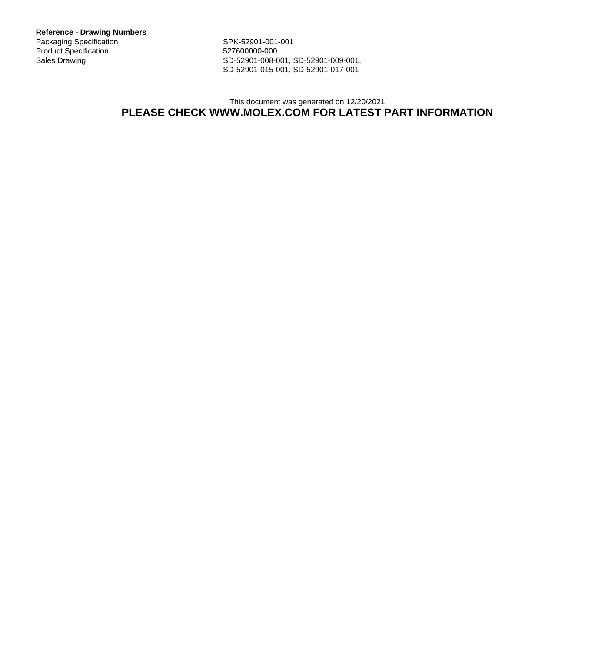**Reference - Drawing Numbers** Packaging Specification SPK-52901-001-001 Product Specification 527600000-000<br>Sales Drawing 527600000-008-0

SD-52901-008-001, SD-52901-009-001, SD-52901-015-001, SD-52901-017-001

## This document was generated on 12/20/2021 **PLEASE CHECK WWW.MOLEX.COM FOR LATEST PART INFORMATION**